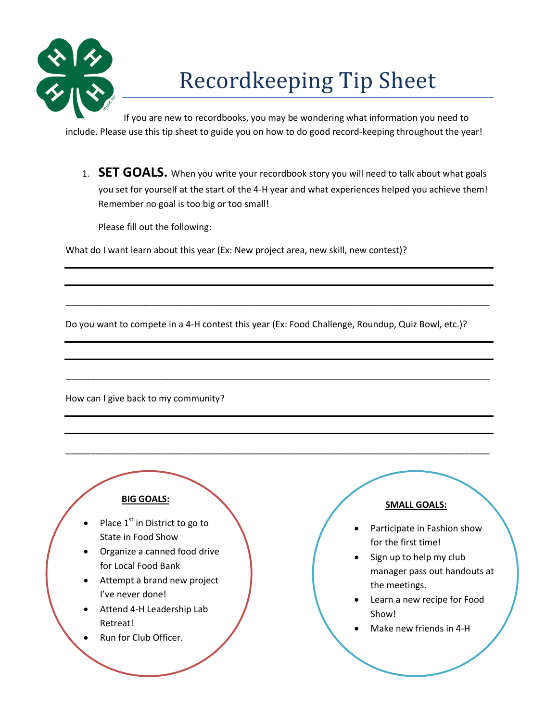

## Recordkeeping Tip Sheet

If you are new to recordbooks, you may be wondering what information you need to include. Please use this tip sheet to guide you on how to do good record-keeping throughout the year!

1. **SET GOALS.** When you write your recordbook story you will need to talk about what goals you set for yourself at the start of the 4-H year and what experiences helped you achieve them! Remember no goal is too big or too small!

Please fill out the following:

What do I want learn about this year (Ex: New project area, new skill, new contest)?

Do you want to compete in a 4-H contest this year (Ex: Food Challenge, Roundup, Quiz Bowl, etc.)?

\_\_\_\_\_\_\_\_\_\_\_\_\_\_\_\_\_\_\_\_\_\_\_\_\_\_\_\_\_\_\_\_\_\_\_\_\_\_\_\_\_\_\_\_\_\_\_\_\_\_\_\_\_\_\_\_\_\_\_\_\_\_\_\_\_\_\_\_\_\_\_\_\_\_\_\_\_\_\_\_\_\_\_\_\_

\_\_\_\_\_\_\_\_\_\_\_\_\_\_\_\_\_\_\_\_\_\_\_\_\_\_\_\_\_\_\_\_\_\_\_\_\_\_\_\_\_\_\_\_\_\_\_\_\_\_\_\_\_\_\_\_\_\_\_\_\_\_\_\_\_\_\_\_\_\_\_\_\_\_\_\_\_\_\_\_\_\_\_\_\_

\_\_\_\_\_\_\_\_\_\_\_\_\_\_\_\_\_\_\_\_\_\_\_\_\_\_\_\_\_\_\_\_\_\_\_\_\_\_\_\_\_\_\_\_\_\_\_\_\_\_\_\_\_\_\_\_\_\_\_\_\_\_\_\_\_\_\_\_\_\_\_\_\_\_\_\_\_\_\_\_\_\_\_\_\_

How can I give back to my community?

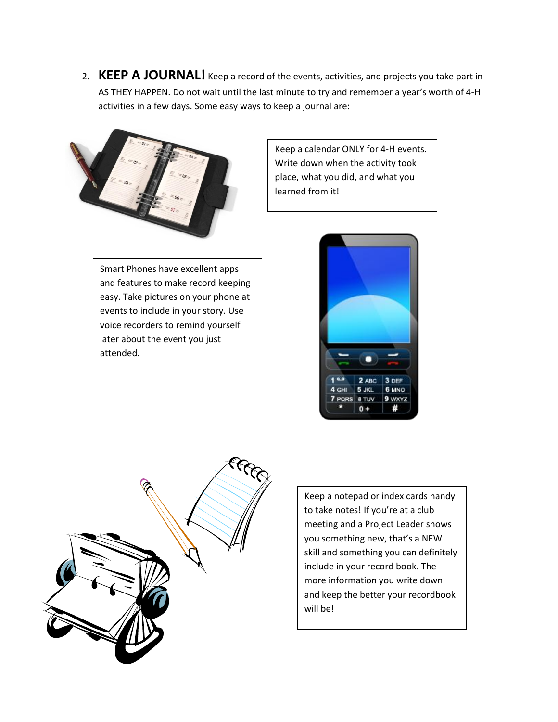2. **KEEP A JOURNAL!** Keep a record of the events, activities, and projects you take part in AS THEY HAPPEN. Do not wait until the last minute to try and remember a year's worth of 4-H activities in a few days. Some easy ways to keep a journal are:



Keep a calendar ONLY for 4-H events. Write down when the activity took place, what you did, and what you learned from it!

Smart Phones have excellent apps and features to make record keeping easy. Take pictures on your phone at events to include in your story. Use voice recorders to remind yourself later about the event you just attended.



![](_page_1_Picture_5.jpeg)

Keep a notepad or index cards handy to take notes! If you're at a club meeting and a Project Leader shows you something new, that's a NEW skill and something you can definitely include in your record book. The more information you write down and keep the better your recordbook will be!